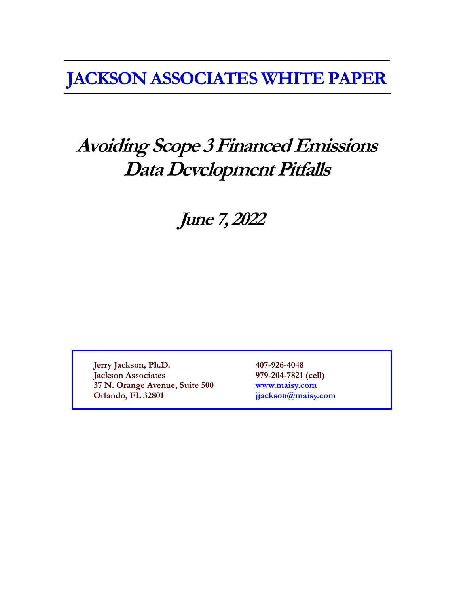**JACKSON ASSOCIATES WHITE PAPER**

# **Avoiding Scope 3 Financed Emissions Data Development Pitfalls**

**June 7, 2022**

**Jerry Jackson, Ph.D. 407-926-4048 Jackson Associates 979-204-7821 (cell) 37 N. Orange Avenue, Suite 500 [www.maisy.com](http://www.maisy.com/) Orlando, FL 32801 [jjackson@maisy.com](mailto:jjackson@maisy.com)**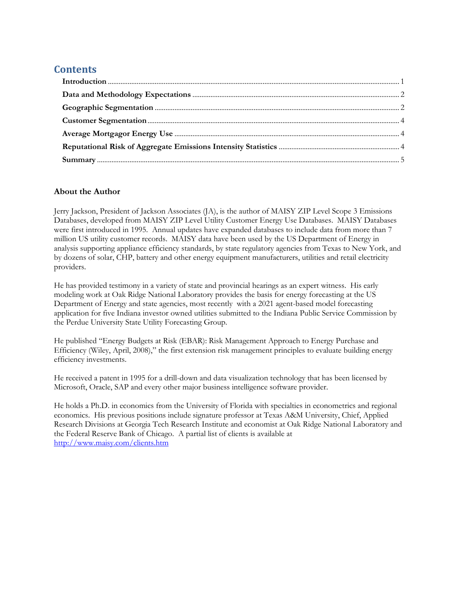# **Contents**

| $\label{eq:1} \textbf{Introduction} \textcolor{red}{\textbf{1}} \textbf{1}$ |  |
|-----------------------------------------------------------------------------|--|
|                                                                             |  |
|                                                                             |  |
|                                                                             |  |
|                                                                             |  |
|                                                                             |  |
|                                                                             |  |

## **About the Author**

Jerry Jackson, President of Jackson Associates (JA), is the author of MAISY ZIP Level Scope 3 Emissions Databases, developed from MAISY ZIP Level Utility Customer Energy Use Databases. MAISY Databases were first introduced in 1995. Annual updates have expanded databases to include data from more than 7 million US utility customer records. MAISY data have been used by the US Department of Energy in analysis supporting appliance efficiency standards, by state regulatory agencies from Texas to New York, and by dozens of solar, CHP, battery and other energy equipment manufacturers, utilities and retail electricity providers.

He has provided testimony in a variety of state and provincial hearings as an expert witness. His early modeling work at Oak Ridge National Laboratory provides the basis for energy forecasting at the US Department of Energy and state agencies, most recently with a 2021 agent-based model forecasting application for five Indiana investor owned utilities submitted to the Indiana Public Service Commission by the Perdue University State Utility Forecasting Group.

He published "Energy Budgets at Risk (EBAR): Risk Management Approach to Energy Purchase and Efficiency (Wiley, April, 2008)," the first extension risk management principles to evaluate building energy efficiency investments.

He received a patent in 1995 for a drill-down and data visualization technology that has been licensed by Microsoft, Oracle, SAP and every other major business intelligence software provider.

He holds a Ph.D. in economics from the University of Florida with specialties in econometrics and regional economics. His previous positions include signature professor at Texas A&M University, Chief, Applied Research Divisions at Georgia Tech Research Institute and economist at Oak Ridge National Laboratory and the Federal Reserve Bank of Chicago. A partial list of clients is available at <http://www.maisy.com/clients.htm>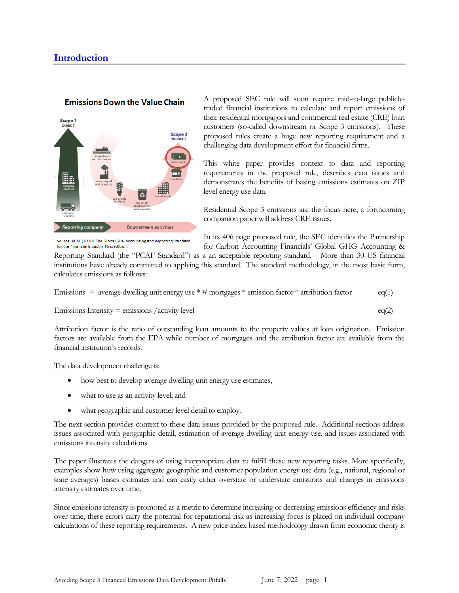#### <span id="page-2-0"></span>**Emissions Down the Value Chain**



Source: PCAF (2020). The Global GHG Accounting and Reporting Standard

for the Financial Industry First edition

A proposed SEC rule will soon require mid-to-large publiclytraded financial institutions to calculate and report emissions of their residential mortgagors and commercial real estate (CRE) loan customers (so-called downstream or Scope 3 emissions). These proposed rules create a huge new reporting requirement and a challenging data development effort for financial firms.

This white paper provides context to data and reporting requirements in the proposed rule, describes data issues and demonstrates the benefits of basing emissions estimates on ZIP level energy use data.

Residential Scope 3 emissions are the focus here; a forthcoming companion paper will address CRE issues.

In its 406 page proposed rule, the SEC identifies the Partnership for Carbon Accounting Financials' Global GHG Accounting &

Reporting Standard (the "PCAF Standard") as a an acceptable reporting standard. More than 30 US financial institutions have already committed to applying this standard. The standard methodology, in the most basic form, calculates emissions as follows:

Emissions = average dwelling unit energy use  $*$  # mortgages  $*$  emission factor  $*$  attribution factor eq(1)

Emissions Intensity = emissions /activity level  $eq(2)$ 

Attribution factor is the ratio of outstanding loan amounts to the property values at loan origination. Emission factors are available from the EPA while number of mortgages and the attribution factor are available from the financial institution's records.

The data development challenge is:

- how best to develop average dwelling unit energy use estimates,
- what to use as an activity level, and
- what geographic and customer level detail to employ.

The next section provides context to these data issues provided by the proposed rule. Additional sections address issues associated with geographic detail, estimation of average dwelling unit energy use, and issues associated with emissions intensity calculations.

The paper illustrates the dangers of using inappropriate data to fulfill these new reporting tasks. More specifically, examples show how using aggregate geographic and customer population energy use data (e.g., national, regional or state averages) biases estimates and can easily either overstate or understate emissions and changes in emissions intensity estimates over time.

Since emissions intensity is promoted as a metric to determine increasing or decreasing emissions efficiency and risks over time, these errors carry the potential for reputational risk as increasing focus is placed on individual company calculations of these reporting requirements. A new price-index based methodology drawn from economic theory is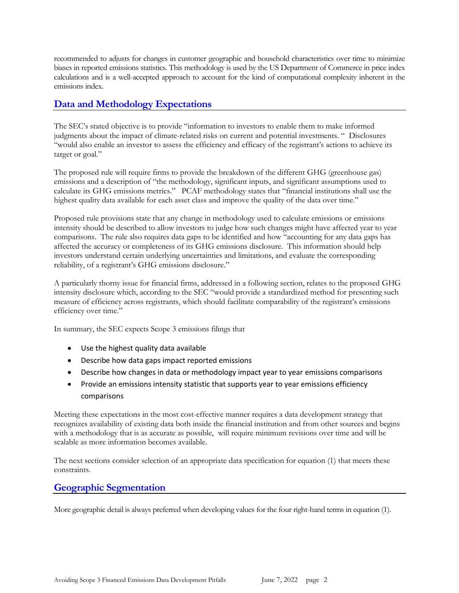recommended to adjusts for changes in customer geographic and household characteristics over time to minimize biases in reported emissions statistics. This methodology is used by the US Department of Commerce in price index calculations and is a well-accepted approach to account for the kind of computational complexity inherent in the emissions index.

## <span id="page-3-0"></span>**Data and Methodology Expectations**

The SEC's stated objective is to provide "information to investors to enable them to make informed judgments about the impact of climate-related risks on current and potential investments. " Disclosures "would also enable an investor to assess the efficiency and efficacy of the registrant's actions to achieve its target or goal."

The proposed rule will require firms to provide the breakdown of the different GHG (greenhouse gas) emissions and a description of "the methodology, significant inputs, and significant assumptions used to calculate its GHG emissions metrics." PCAF methodology states that "financial institutions shall use the highest quality data available for each asset class and improve the quality of the data over time."

Proposed rule provisions state that any change in methodology used to calculate emissions or emissions intensity should be described to allow investors to judge how such changes might have affected year to year comparisons. The rule also requires data gaps to be identified and how "accounting for any data gaps has affected the accuracy or completeness of its GHG emissions disclosure. This information should help investors understand certain underlying uncertainties and limitations, and evaluate the corresponding reliability, of a registrant's GHG emissions disclosure."

A particularly thorny issue for financial firms, addressed in a following section, relates to the proposed GHG intensity disclosure which, according to the SEC "would provide a standardized method for presenting such measure of efficiency across registrants, which should facilitate comparability of the registrant's emissions efficiency over time."

In summary, the SEC expects Scope 3 emissions filings that

- Use the highest quality data available
- Describe how data gaps impact reported emissions
- Describe how changes in data or methodology impact year to year emissions comparisons
- Provide an emissions intensity statistic that supports year to year emissions efficiency comparisons

Meeting these expectations in the most cost-effective manner requires a data development strategy that recognizes availability of existing data both inside the financial institution and from other sources and begins with a methodology that is as accurate as possible, will require minimum revisions over time and will be scalable as more information becomes available.

The next sections consider selection of an appropriate data specification for equation (1) that meets these constraints.

## <span id="page-3-1"></span>**Geographic Segmentation**

More geographic detail is always preferred when developing values for the four right-hand terms in equation (1).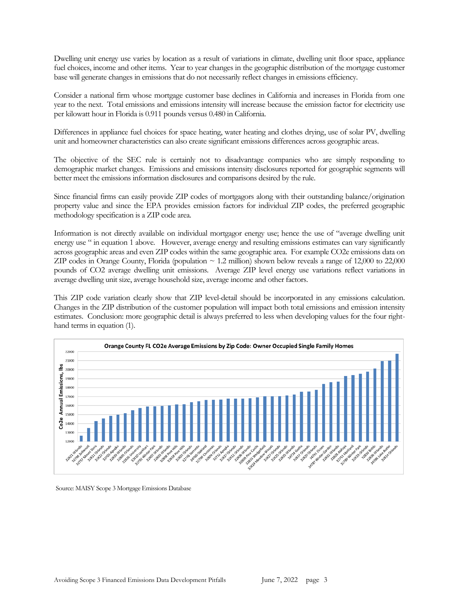Dwelling unit energy use varies by location as a result of variations in climate, dwelling unit floor space, appliance fuel choices, income and other items. Year to year changes in the geographic distribution of the mortgage customer base will generate changes in emissions that do not necessarily reflect changes in emissions efficiency.

Consider a national firm whose mortgage customer base declines in California and increases in Florida from one year to the next. Total emissions and emissions intensity will increase because the emission factor for electricity use per kilowatt hour in Florida is 0.911 pounds versus 0.480 in California.

Differences in appliance fuel choices for space heating, water heating and clothes drying, use of solar PV, dwelling unit and homeowner characteristics can also create significant emissions differences across geographic areas.

The objective of the SEC rule is certainly not to disadvantage companies who are simply responding to demographic market changes. Emissions and emissions intensity disclosures reported for geographic segments will better meet the emissions information disclosures and comparisons desired by the rule.

Since financial firms can easily provide ZIP codes of mortgagors along with their outstanding balance/origination property value and since the EPA provides emission factors for individual ZIP codes, the preferred geographic methodology specification is a ZIP code area.

Information is not directly available on individual mortgagor energy use; hence the use of "average dwelling unit energy use " in equation 1 above. However, average energy and resulting emissions estimates can vary significantly across geographic areas and even ZIP codes within the same geographic area. For example CO2e emissions data on ZIP codes in Orange County, Florida (population  $\sim$  1.2 million) shown below reveals a range of 12,000 to 22,000 pounds of CO2 average dwelling unit emissions. Average ZIP level energy use variations reflect variations in average dwelling unit size, average household size, average income and other factors.

This ZIP code variation clearly show that ZIP level-detail should be incorporated in any emissions calculation. Changes in the ZIP distribution of the customer population will impact both total emissions and emission intensity estimates. Conclusion: more geographic detail is always preferred to less when developing values for the four righthand terms in equation (1).



Source: MAISY Scope 3 Mortgage Emissions Database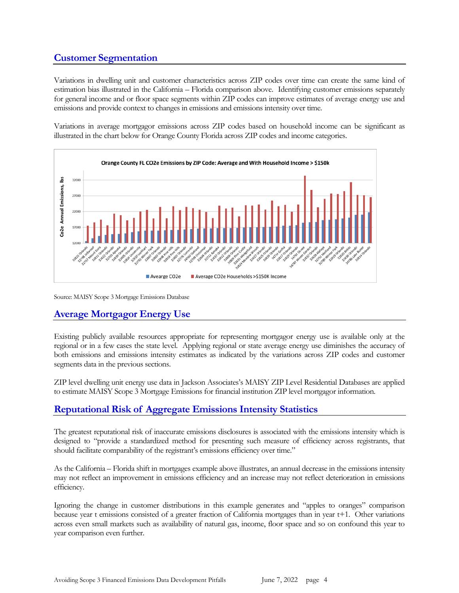# <span id="page-5-0"></span>**Customer Segmentation**

Variations in dwelling unit and customer characteristics across ZIP codes over time can create the same kind of estimation bias illustrated in the California – Florida comparison above. Identifying customer emissions separately for general income and or floor space segments within ZIP codes can improve estimates of average energy use and emissions and provide context to changes in emissions and emissions intensity over time.

Variations in average mortgagor emissions across ZIP codes based on household income can be significant as illustrated in the chart below for Orange County Florida across ZIP codes and income categories.



Source: MAISY Scope 3 Mortgage Emissions Database

## <span id="page-5-1"></span>**Average Mortgagor Energy Use**

Existing publicly available resources appropriate for representing mortgagor energy use is available only at the regional or in a few cases the state level. Applying regional or state average energy use diminishes the accuracy of both emissions and emissions intensity estimates as indicated by the variations across ZIP codes and customer segments data in the previous sections.

ZIP level dwelling unit energy use data in Jackson Associates's MAISY ZIP Level Residential Databases are applied to estimate MAISY Scope 3 Mortgage Emissions for financial institution ZIP level mortgagor information.

## <span id="page-5-2"></span>**Reputational Risk of Aggregate Emissions Intensity Statistics**

The greatest reputational risk of inaccurate emissions disclosures is associated with the emissions intensity which is designed to "provide a standardized method for presenting such measure of efficiency across registrants, that should facilitate comparability of the registrant's emissions efficiency over time."

As the California – Florida shift in mortgages example above illustrates, an annual decrease in the emissions intensity may not reflect an improvement in emissions efficiency and an increase may not reflect deterioration in emissions efficiency.

Ignoring the change in customer distributions in this example generates and "apples to oranges" comparison because year t emissions consisted of a greater fraction of California mortgages than in year t+1. Other variations across even small markets such as availability of natural gas, income, floor space and so on confound this year to year comparison even further.